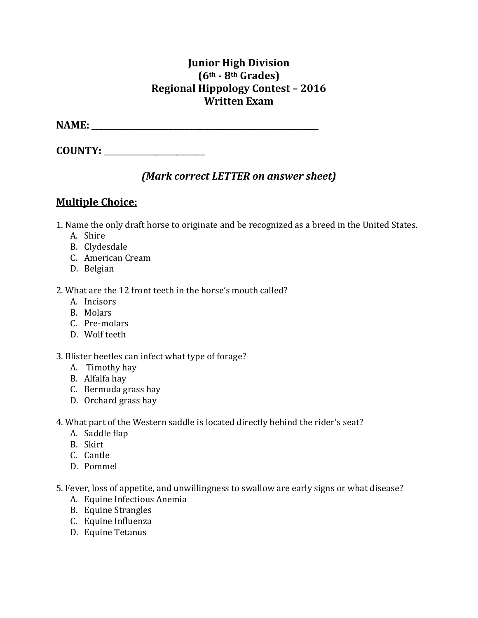### **Junior High Division (6th - 8th Grades) Regional Hippology Contest – 2016 Written Exam**

**NAME:** \_\_\_\_\_\_\_\_\_\_\_\_\_\_\_\_\_\_\_\_\_\_\_\_\_\_\_\_\_\_\_\_\_\_\_\_\_\_\_\_\_\_\_\_\_\_\_\_\_\_\_\_\_\_\_\_

**COUNTY:** \_\_\_\_\_\_\_\_\_\_\_\_\_\_\_\_\_\_\_\_\_\_\_\_\_

## *(Mark correct LETTER on answer sheet)*

## **Multiple Choice:**

1. Name the only draft horse to originate and be recognized as a breed in the United States.

- A. Shire
- B. Clydesdale
- C. American Cream
- D. Belgian
- 2. What are the 12 front teeth in the horse's mouth called?
	- A. Incisors
	- B. Molars
	- C. Pre-molars
	- D. Wolf teeth
- 3. Blister beetles can infect what type of forage?
	- A. Timothy hay
	- B. Alfalfa hay
	- C. Bermuda grass hay
	- D. Orchard grass hay
- 4. What part of the Western saddle is located directly behind the rider's seat?
	- A. Saddle flap
	- B. Skirt
	- C. Cantle
	- D. Pommel
- 5. Fever, loss of appetite, and unwillingness to swallow are early signs or what disease?
	- A. Equine Infectious Anemia
	- B. Equine Strangles
	- C. Equine Influenza
	- D. Equine Tetanus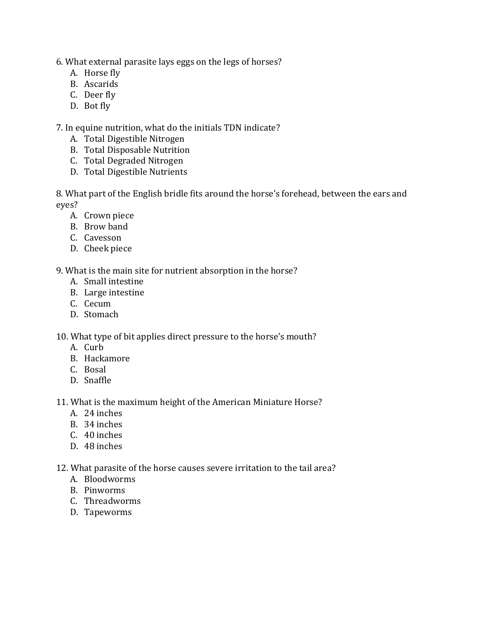6. What external parasite lays eggs on the legs of horses?

- A. Horse fly
- B. Ascarids
- C. Deer fly
- D. Bot fly

7. In equine nutrition, what do the initials TDN indicate?

- A. Total Digestible Nitrogen
- B. Total Disposable Nutrition
- C. Total Degraded Nitrogen
- D. Total Digestible Nutrients

8. What part of the English bridle fits around the horse's forehead, between the ears and eyes?

- A. Crown piece
- B. Brow band
- C. Cavesson
- D. Cheek piece

9. What is the main site for nutrient absorption in the horse?

- A. Small intestine
- B. Large intestine
- C. Cecum
- D. Stomach

10. What type of bit applies direct pressure to the horse's mouth?

- A. Curb
- B. Hackamore
- C. Bosal
- D. Snaffle

11. What is the maximum height of the American Miniature Horse?

- A. 24 inches
- B. 34 inches
- C. 40 inches
- D. 48 inches

12. What parasite of the horse causes severe irritation to the tail area?

- A. Bloodworms
- B. Pinworms
- C. Threadworms
- D. Tapeworms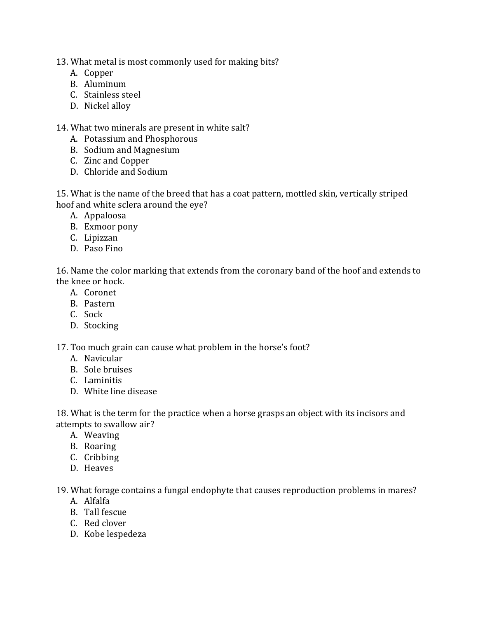- 13. What metal is most commonly used for making bits?
	- A. Copper
	- B. Aluminum
	- C. Stainless steel
	- D. Nickel alloy

14. What two minerals are present in white salt?

- A. Potassium and Phosphorous
- B. Sodium and Magnesium
- C. Zinc and Copper
- D. Chloride and Sodium

15. What is the name of the breed that has a coat pattern, mottled skin, vertically striped hoof and white sclera around the eye?

- A. Appaloosa
- B. Exmoor pony
- C. Lipizzan
- D. Paso Fino

16. Name the color marking that extends from the coronary band of the hoof and extends to the knee or hock.

- A. Coronet
- B. Pastern
- C. Sock
- D. Stocking

17. Too much grain can cause what problem in the horse's foot?

- A. Navicular
- B. Sole bruises
- C. Laminitis
- D. White line disease

18. What is the term for the practice when a horse grasps an object with its incisors and attempts to swallow air?

- A. Weaving
- B. Roaring
- C. Cribbing
- D. Heaves

19. What forage contains a fungal endophyte that causes reproduction problems in mares?

- A. Alfalfa
- B. Tall fescue
- C. Red clover
- D. Kobe lespedeza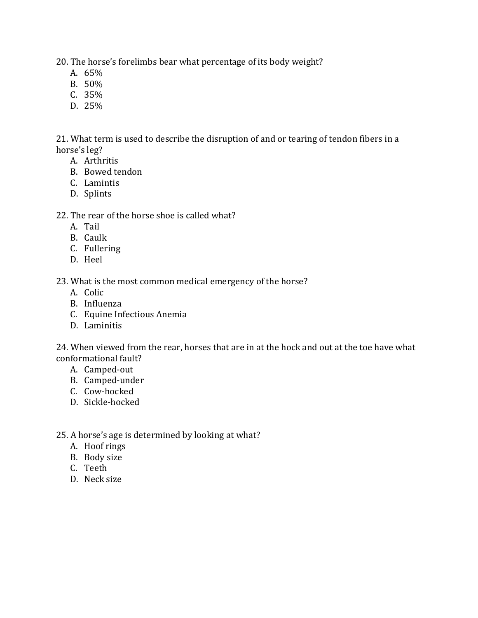20. The horse's forelimbs bear what percentage of its body weight?

- A. 65%
- B. 50%
- C. 35%
- D. 25%

21. What term is used to describe the disruption of and or tearing of tendon fibers in a horse's leg?

- A. Arthritis
- B. Bowed tendon
- C. Lamintis
- D. Splints

#### 22. The rear of the horse shoe is called what?

- A. Tail
- B. Caulk
- C. Fullering
- D. Heel

23. What is the most common medical emergency of the horse?

- A. Colic
- B. Influenza
- C. Equine Infectious Anemia
- D. Laminitis

24. When viewed from the rear, horses that are in at the hock and out at the toe have what conformational fault?

- A. Camped-out
- B. Camped-under
- C. Cow-hocked
- D. Sickle-hocked
- 25. A horse's age is determined by looking at what?
	- A. Hoof rings
	- B. Body size
	- C. Teeth
	- D. Neck size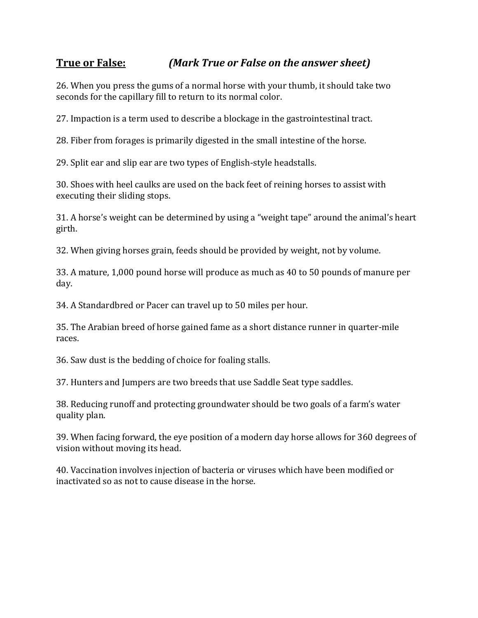## **True or False:** *(Mark True or False on the answer sheet)*

26. When you press the gums of a normal horse with your thumb, it should take two seconds for the capillary fill to return to its normal color.

27. Impaction is a term used to describe a blockage in the gastrointestinal tract.

28. Fiber from forages is primarily digested in the small intestine of the horse.

29. Split ear and slip ear are two types of English-style headstalls.

30. Shoes with heel caulks are used on the back feet of reining horses to assist with executing their sliding stops.

31. A horse's weight can be determined by using a "weight tape" around the animal's heart girth.

32. When giving horses grain, feeds should be provided by weight, not by volume.

33. A mature, 1,000 pound horse will produce as much as 40 to 50 pounds of manure per day.

34. A Standardbred or Pacer can travel up to 50 miles per hour.

35. The Arabian breed of horse gained fame as a short distance runner in quarter-mile races.

36. Saw dust is the bedding of choice for foaling stalls.

37. Hunters and Jumpers are two breeds that use Saddle Seat type saddles.

38. Reducing runoff and protecting groundwater should be two goals of a farm's water quality plan.

39. When facing forward, the eye position of a modern day horse allows for 360 degrees of vision without moving its head.

40. Vaccination involves injection of bacteria or viruses which have been modified or inactivated so as not to cause disease in the horse.